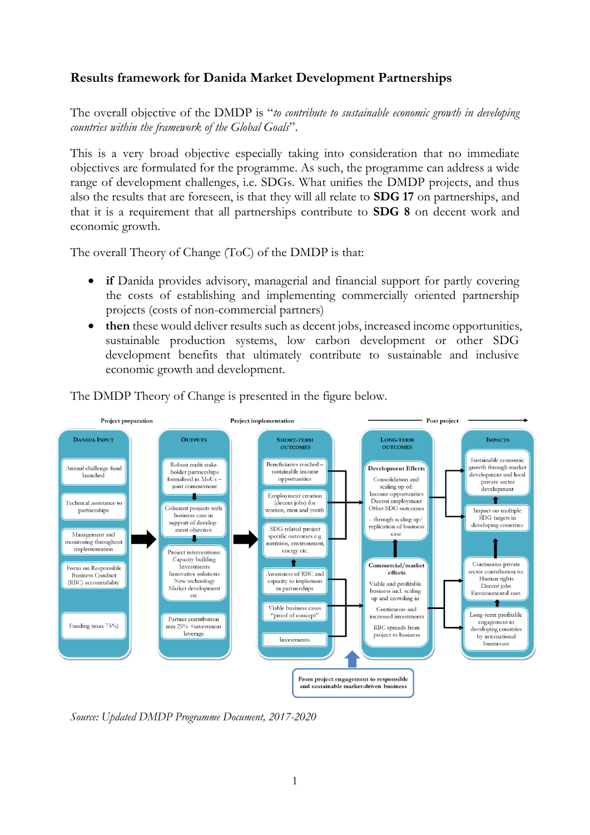# **Results framework for Danida Market Development Partnerships**

The overall objective of the DMDP is "*to contribute to sustainable economic growth in developing countries within the framework of the Global Goals*".

This is a very broad objective especially taking into consideration that no immediate objectives are formulated for the programme. As such, the programme can address a wide range of development challenges, i.e. SDGs. What unifies the DMDP projects, and thus also the results that are foreseen, is that they will all relate to **SDG 17** on partnerships, and that it is a requirement that all partnerships contribute to **SDG 8** on decent work and economic growth.

The overall Theory of Change (ToC) of the DMDP is that:

- **if** Danida provides advisory, managerial and financial support for partly covering the costs of establishing and implementing commercially oriented partnership projects (costs of non-commercial partners)
- **then** these would deliver results such as decent jobs, increased income opportunities, sustainable production systems, low carbon development or other SDG development benefits that ultimately contribute to sustainable and inclusive economic growth and development.



The DMDP Theory of Change is presented in the figure below.

*Source: Updated DMDP Programme Document, 2017-2020*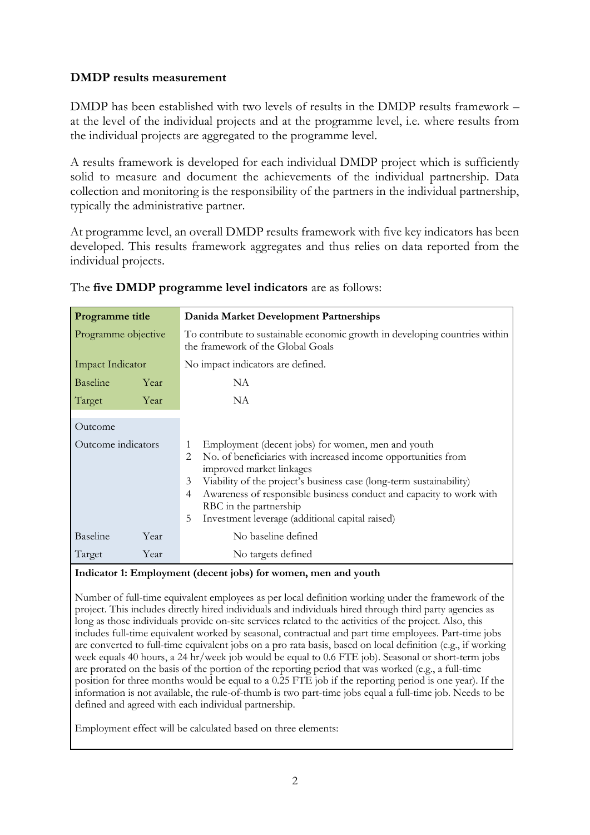## **DMDP results measurement**

DMDP has been established with two levels of results in the DMDP results framework – at the level of the individual projects and at the programme level, i.e. where results from the individual projects are aggregated to the programme level.

A results framework is developed for each individual DMDP project which is sufficiently solid to measure and document the achievements of the individual partnership. Data collection and monitoring is the responsibility of the partners in the individual partnership, typically the administrative partner.

At programme level, an overall DMDP results framework with five key indicators has been developed. This results framework aggregates and thus relies on data reported from the individual projects.

| <b>Programme title</b>        | Danida Market Development Partnerships                                                                                                                                                                                                                                                                                                                                                             |  |
|-------------------------------|----------------------------------------------------------------------------------------------------------------------------------------------------------------------------------------------------------------------------------------------------------------------------------------------------------------------------------------------------------------------------------------------------|--|
| Programme objective           | To contribute to sustainable economic growth in developing countries within<br>the framework of the Global Goals                                                                                                                                                                                                                                                                                   |  |
| Impact Indicator              | No impact indicators are defined.                                                                                                                                                                                                                                                                                                                                                                  |  |
| Baseline<br>Year              | NA                                                                                                                                                                                                                                                                                                                                                                                                 |  |
| Target<br>Year                | NA                                                                                                                                                                                                                                                                                                                                                                                                 |  |
| Outcome<br>Outcome indicators | Employment (decent jobs) for women, men and youth<br>1<br>No. of beneficiaries with increased income opportunities from<br>2<br>improved market linkages<br>3<br>Viability of the project's business case (long-term sustainability)<br>Awareness of responsible business conduct and capacity to work with<br>4<br>RBC in the partnership<br>Investment leverage (additional capital raised)<br>5 |  |
| Baseline<br>Year              | No baseline defined                                                                                                                                                                                                                                                                                                                                                                                |  |
| Target<br>Year                | No targets defined                                                                                                                                                                                                                                                                                                                                                                                 |  |

### The **five DMDP programme level indicators** are as follows:

#### **Indicator 1: Employment (decent jobs) for women, men and youth**

Number of full-time equivalent employees as per local definition working under the framework of the project. This includes directly hired individuals and individuals hired through third party agencies as long as those individuals provide on-site services related to the activities of the project. Also, this includes full-time equivalent worked by seasonal, contractual and part time employees. Part-time jobs are converted to full-time equivalent jobs on a pro rata basis, based on local definition (e.g., if working week equals 40 hours, a 24 hr/week job would be equal to 0.6 FTE job). Seasonal or short-term jobs are prorated on the basis of the portion of the reporting period that was worked (e.g., a full-time position for three months would be equal to a 0.25 FTE job if the reporting period is one year). If the information is not available, the rule-of-thumb is two part-time jobs equal a full-time job. Needs to be defined and agreed with each individual partnership.

Employment effect will be calculated based on three elements: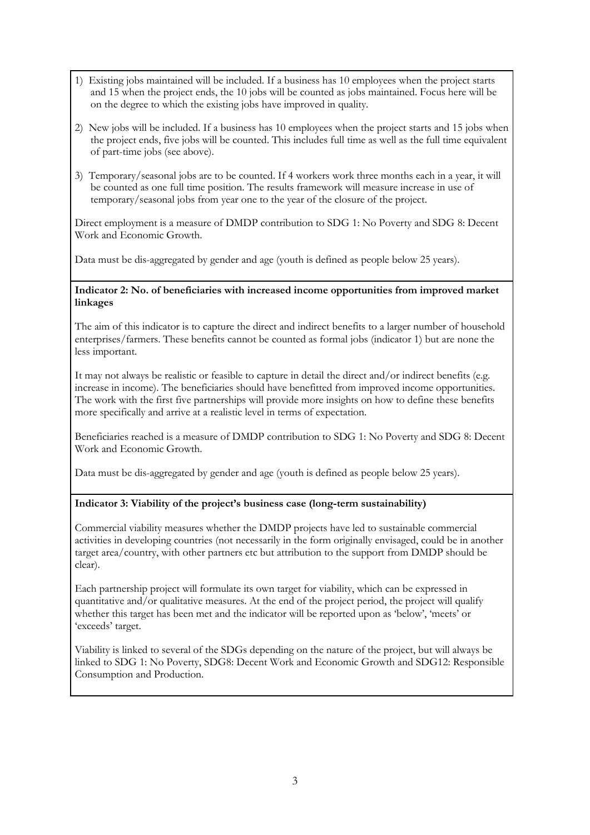- 1) Existing jobs maintained will be included. If a business has 10 employees when the project starts and 15 when the project ends, the 10 jobs will be counted as jobs maintained. Focus here will be on the degree to which the existing jobs have improved in quality.
- 2) New jobs will be included. If a business has 10 employees when the project starts and 15 jobs when the project ends, five jobs will be counted. This includes full time as well as the full time equivalent of part-time jobs (see above).
- 3) Temporary/seasonal jobs are to be counted. If 4 workers work three months each in a year, it will be counted as one full time position. The results framework will measure increase in use of temporary/seasonal jobs from year one to the year of the closure of the project.

Direct employment is a measure of DMDP contribution to SDG 1: No Poverty and SDG 8: Decent Work and Economic Growth.

Data must be dis-aggregated by gender and age (youth is defined as people below 25 years).

#### **Indicator 2: No. of beneficiaries with increased income opportunities from improved market linkages**

The aim of this indicator is to capture the direct and indirect benefits to a larger number of household enterprises/farmers. These benefits cannot be counted as formal jobs (indicator 1) but are none the less important.

It may not always be realistic or feasible to capture in detail the direct and/or indirect benefits (e.g. increase in income). The beneficiaries should have benefitted from improved income opportunities. The work with the first five partnerships will provide more insights on how to define these benefits more specifically and arrive at a realistic level in terms of expectation.

Beneficiaries reached is a measure of DMDP contribution to SDG 1: No Poverty and SDG 8: Decent Work and Economic Growth.

Data must be dis-aggregated by gender and age (youth is defined as people below 25 years).

### **Indicator 3: Viability of the project's business case (long-term sustainability)**

Commercial viability measures whether the DMDP projects have led to sustainable commercial activities in developing countries (not necessarily in the form originally envisaged, could be in another target area/country, with other partners etc but attribution to the support from DMDP should be clear).

Each partnership project will formulate its own target for viability, which can be expressed in quantitative and/or qualitative measures. At the end of the project period, the project will qualify whether this target has been met and the indicator will be reported upon as 'below', 'meets' or 'exceeds' target.

Viability is linked to several of the SDGs depending on the nature of the project, but will always be linked to SDG 1: No Poverty, SDG8: Decent Work and Economic Growth and SDG12: Responsible Consumption and Production.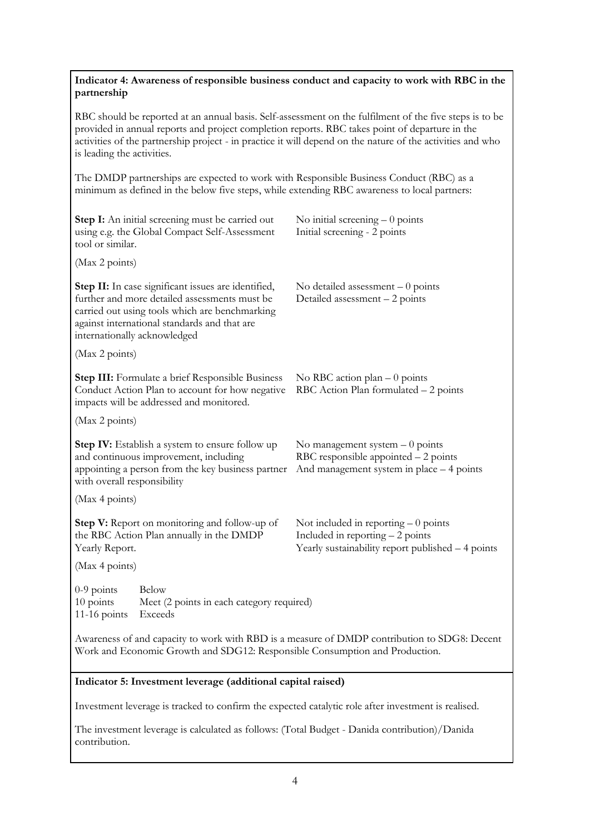## **Indicator 4: Awareness of responsible business conduct and capacity to work with RBC in the partnership**

RBC should be reported at an annual basis. Self-assessment on the fulfilment of the five steps is to be provided in annual reports and project completion reports. RBC takes point of departure in the activities of the partnership project - in practice it will depend on the nature of the activities and who is leading the activities.

The DMDP partnerships are expected to work with Responsible Business Conduct (RBC) as a minimum as defined in the below five steps, while extending RBC awareness to local partners:

| Step I: An initial screening must be carried out<br>using e.g. the Global Compact Self-Assessment<br>tool or similar.                                                                                                                  | No initial screening $-0$ points<br>Initial screening - 2 points                                                                |  |
|----------------------------------------------------------------------------------------------------------------------------------------------------------------------------------------------------------------------------------------|---------------------------------------------------------------------------------------------------------------------------------|--|
| (Max 2 points)                                                                                                                                                                                                                         |                                                                                                                                 |  |
| Step II: In case significant issues are identified,<br>further and more detailed assessments must be<br>carried out using tools which are benchmarking<br>against international standards and that are<br>internationally acknowledged | No detailed assessment $-0$ points<br>Detailed assessment - 2 points                                                            |  |
| (Max 2 points)                                                                                                                                                                                                                         |                                                                                                                                 |  |
| <b>Step III:</b> Formulate a brief Responsible Business<br>Conduct Action Plan to account for how negative<br>impacts will be addressed and monitored.                                                                                 | No RBC action plan $-0$ points<br>RBC Action Plan formulated - 2 points                                                         |  |
| (Max 2 points)                                                                                                                                                                                                                         |                                                                                                                                 |  |
| Step IV: Establish a system to ensure follow up<br>and continuous improvement, including<br>appointing a person from the key business partner<br>with overall responsibility                                                           | No management system $-0$ points<br>RBC responsible appointed $-2$ points<br>And management system in place - 4 points          |  |
| (Max 4 points)                                                                                                                                                                                                                         |                                                                                                                                 |  |
| Step V: Report on monitoring and follow-up of<br>the RBC Action Plan annually in the DMDP<br>Yearly Report.                                                                                                                            | Not included in reporting $-0$ points<br>Included in reporting $-2$ points<br>Yearly sustainability report published - 4 points |  |
| (Max 4 points)                                                                                                                                                                                                                         |                                                                                                                                 |  |
| $0-9$ points<br><b>Below</b><br>10 points<br>Meet (2 points in each category required)<br>11-16 points<br>Exceeds                                                                                                                      |                                                                                                                                 |  |
| Awareness of and capacity to work with RBD is a measure of DMDP contribution to SDG8: Decent<br>Work and Economic Growth and SDG12: Responsible Consumption and Production.                                                            |                                                                                                                                 |  |

#### **Indicator 5: Investment leverage (additional capital raised)**

Investment leverage is tracked to confirm the expected catalytic role after investment is realised.

The investment leverage is calculated as follows: (Total Budget - Danida contribution)/Danida contribution.